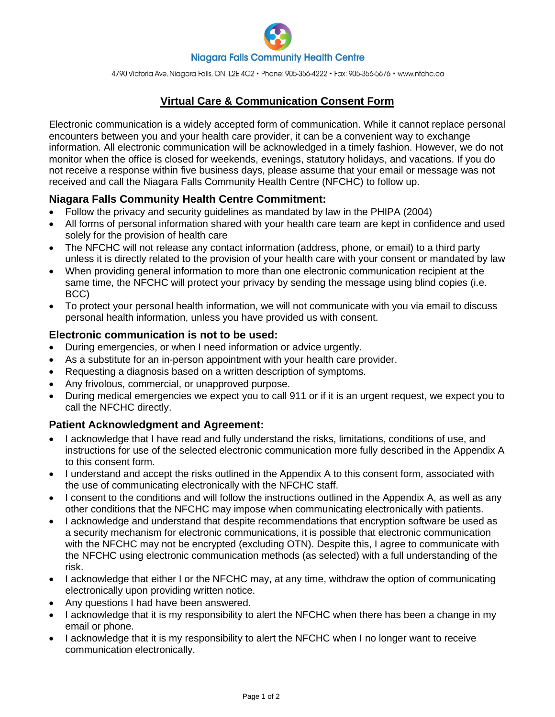

4790 Victoria Ave, Niagara Falls, ON L2E 4C2 · Phone: 905-356-4222 · Fax: 905-356-5676 · www.nfchc.ca

# **Virtual Care & Communication Consent Form**

Electronic communication is a widely accepted form of communication. While it cannot replace personal encounters between you and your health care provider, it can be a convenient way to exchange information. All electronic communication will be acknowledged in a timely fashion. However, we do not monitor when the office is closed for weekends, evenings, statutory holidays, and vacations. If you do not receive a response within five business days, please assume that your email or message was not received and call the Niagara Falls Community Health Centre (NFCHC) to follow up.

## **Niagara Falls Community Health Centre Commitment:**

- Follow the privacy and security guidelines as mandated by law in the PHIPA (2004)
- All forms of personal information shared with your health care team are kept in confidence and used solely for the provision of health care
- The NFCHC will not release any contact information (address, phone, or email) to a third party unless it is directly related to the provision of your health care with your consent or mandated by law
- When providing general information to more than one electronic communication recipient at the same time, the NFCHC will protect your privacy by sending the message using blind copies (i.e. BCC)
- To protect your personal health information, we will not communicate with you via email to discuss personal health information, unless you have provided us with consent.

#### **Electronic communication is not to be used:**

- During emergencies, or when I need information or advice urgently.
- As a substitute for an in-person appointment with your health care provider.
- Requesting a diagnosis based on a written description of symptoms.
- Any frivolous, commercial, or unapproved purpose.
- During medical emergencies we expect you to call 911 or if it is an urgent request, we expect you to call the NFCHC directly.

## **Patient Acknowledgment and Agreement:**

- I acknowledge that I have read and fully understand the risks, limitations, conditions of use, and instructions for use of the selected electronic communication more fully described in the Appendix A to this consent form.
- I understand and accept the risks outlined in the Appendix A to this consent form, associated with the use of communicating electronically with the NFCHC staff.
- I consent to the conditions and will follow the instructions outlined in the Appendix A, as well as any other conditions that the NFCHC may impose when communicating electronically with patients.
- I acknowledge and understand that despite recommendations that encryption software be used as a security mechanism for electronic communications, it is possible that electronic communication with the NFCHC may not be encrypted (excluding OTN). Despite this, I agree to communicate with the NFCHC using electronic communication methods (as selected) with a full understanding of the risk.
- I acknowledge that either I or the NFCHC may, at any time, withdraw the option of communicating electronically upon providing written notice.
- Any questions I had have been answered.
- I acknowledge that it is my responsibility to alert the NFCHC when there has been a change in my email or phone.
- I acknowledge that it is my responsibility to alert the NFCHC when I no longer want to receive communication electronically.